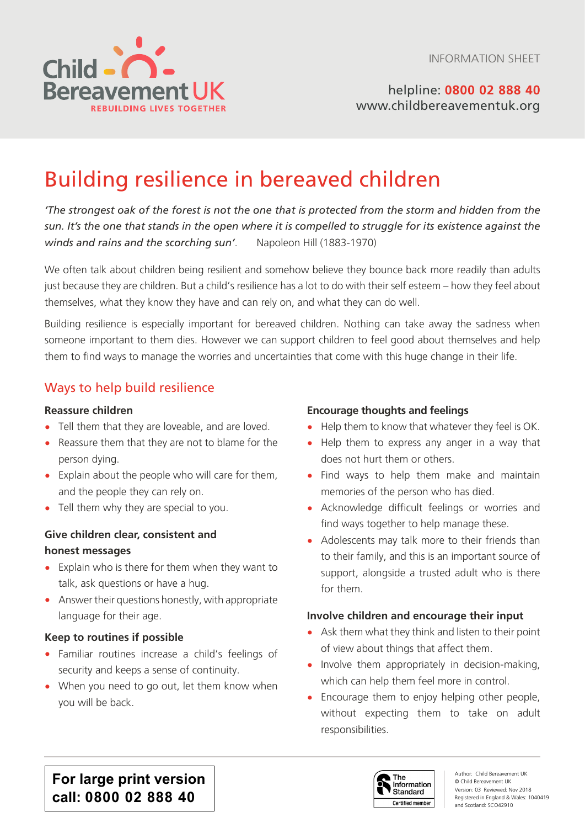

helpline: **0800 02 888 40** [www.childbereavementuk.org](http://www.childbereavementuk.org)

# Building resilience in bereaved children

*'The strongest oak of the forest is not the one that is protected from the storm and hidden from the sun. It's the one that stands in the open where it is compelled to struggle for its existence against the winds and rains and the scorching sun'*. Napoleon Hill (1883-1970)

We often talk about children being resilient and somehow believe they bounce back more readily than adults just because they are children. But a child's resilience has a lot to do with their self esteem – how they feel about themselves, what they know they have and can rely on, and what they can do well.

Building resilience is especially important for bereaved children. Nothing can take away the sadness when someone important to them dies. However we can support children to feel good about themselves and help them to find ways to manage the worries and uncertainties that come with this huge change in their life.

# Ways to help build resilience

#### **Reassure children**

- Tell them that they are loveable, and are loved.
- Reassure them that they are not to blame for the person dying.
- Explain about the people who will care for them, and the people they can rely on.
- Tell them why they are special to you.

#### **Give children clear, consistent and honest messages**

- Explain who is there for them when they want to talk, ask questions or have a hug.
- Answer their questions honestly, with appropriate language for their age.

#### **Keep to routines if possible**

- Familiar routines increase a child's feelings of security and keeps a sense of continuity.
- When you need to go out, let them know when you will be back.

#### **Encourage thoughts and feelings**

- Help them to know that whatever they feel is OK.
- Help them to express any anger in a way that does not hurt them or others.
- Find ways to help them make and maintain memories of the person who has died.
- Acknowledge difficult feelings or worries and find ways together to help manage these.
- Adolescents may talk more to their friends than to their family, and this is an important source of support, alongside a trusted adult who is there for them.

#### **Involve children and encourage their input**

- Ask them what they think and listen to their point of view about things that affect them.
- Involve them appropriately in decision-making, which can help them feel more in control.
- Encourage them to enjoy helping other people, without expecting them to take on adult responsibilities.

**For large print version call: 0800 02 888 40**

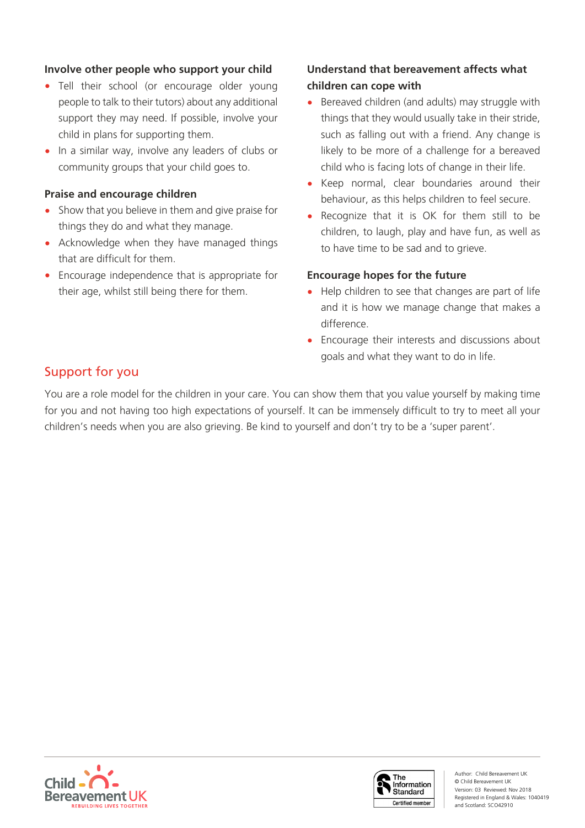#### **Involve other people who support your child**

- Tell their school (or encourage older young people to talk to their tutors) about any additional support they may need. If possible, involve your child in plans for supporting them.
- In a similar way, involve any leaders of clubs or community groups that your child goes to.

#### **Praise and encourage children**

- Show that you believe in them and give praise for things they do and what they manage.
- Acknowledge when they have managed things that are difficult for them.
- Encourage independence that is appropriate for their age, whilst still being there for them.

# **Understand that bereavement affects what children can cope with**

- Bereaved children (and adults) may struggle with things that they would usually take in their stride, such as falling out with a friend. Any change is likely to be more of a challenge for a bereaved child who is facing lots of change in their life.
- Keep normal, clear boundaries around their behaviour, as this helps children to feel secure.
- Recognize that it is OK for them still to be children, to laugh, play and have fun, as well as to have time to be sad and to grieve.

#### **Encourage hopes for the future**

- Help children to see that changes are part of life and it is how we manage change that makes a difference.
- Encourage their interests and discussions about goals and what they want to do in life.

# Support for you

You are a role model for the children in your care. You can show them that you value yourself by making time for you and not having too high expectations of yourself. It can be immensely difficult to try to meet all your children's needs when you are also grieving. Be kind to yourself and don't try to be a 'super parent'.





Author: Child Bereavement UK © Child Bereavement UK Version: 03 Reviewed: Nov 2018 Registered in England & Wales: 1040419 and Scotland: SCO42910